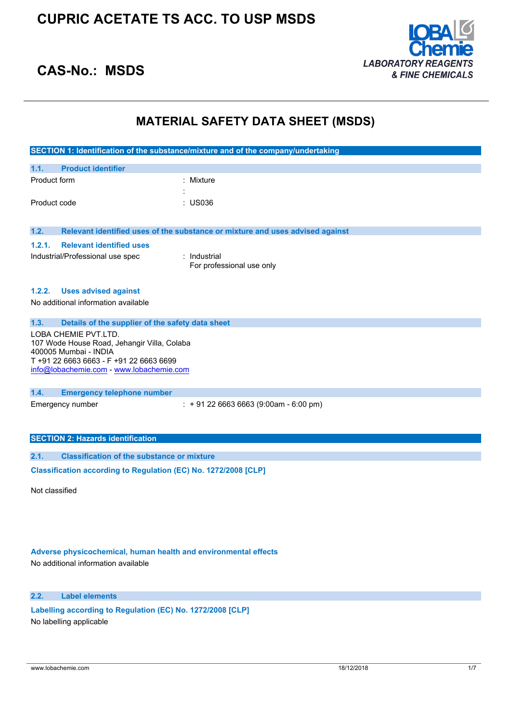

## **CAS-No.: MSDS**

## **MATERIAL SAFETY DATA SHEET (MSDS)**

|                                                                 |                                                                     | SECTION 1: Identification of the substance/mixture and of the company/undertaking |
|-----------------------------------------------------------------|---------------------------------------------------------------------|-----------------------------------------------------------------------------------|
| 1.1.                                                            | <b>Product identifier</b>                                           |                                                                                   |
| Product form                                                    |                                                                     | : Mixture                                                                         |
|                                                                 |                                                                     |                                                                                   |
| Product code                                                    |                                                                     | : US036                                                                           |
|                                                                 |                                                                     |                                                                                   |
| 1.2.                                                            |                                                                     | Relevant identified uses of the substance or mixture and uses advised against     |
| 1.2.1.                                                          | <b>Relevant identified uses</b>                                     |                                                                                   |
|                                                                 | Industrial/Professional use spec                                    | : Industrial<br>For professional use only                                         |
|                                                                 |                                                                     |                                                                                   |
| 1.2.2.                                                          | <b>Uses advised against</b>                                         |                                                                                   |
|                                                                 | No additional information available                                 |                                                                                   |
|                                                                 |                                                                     |                                                                                   |
| 1.3.                                                            | Details of the supplier of the safety data sheet                    |                                                                                   |
|                                                                 | LOBA CHEMIE PVT.LTD.<br>107 Wode House Road, Jehangir Villa, Colaba |                                                                                   |
|                                                                 | 400005 Mumbai - INDIA                                               |                                                                                   |
|                                                                 | T +91 22 6663 6663 - F +91 22 6663 6699                             |                                                                                   |
|                                                                 | info@lobachemie.com - www.lobachemie.com                            |                                                                                   |
|                                                                 |                                                                     |                                                                                   |
| 1.4.                                                            | <b>Emergency telephone number</b>                                   |                                                                                   |
|                                                                 | Emergency number                                                    | $: +912266636663(9:00am - 6:00 pm)$                                               |
|                                                                 |                                                                     |                                                                                   |
|                                                                 |                                                                     |                                                                                   |
|                                                                 | <b>SECTION 2: Hazards identification</b>                            |                                                                                   |
| 2.1.                                                            | <b>Classification of the substance or mixture</b>                   |                                                                                   |
| Classification according to Regulation (EC) No. 1272/2008 [CLP] |                                                                     |                                                                                   |

Not classified

### **Adverse physicochemical, human health and environmental effects**

No additional information available

### **2.2. Label elements**

**Labelling according to Regulation** (EC) **No. 1272/2008** [CLP] No labelling applicable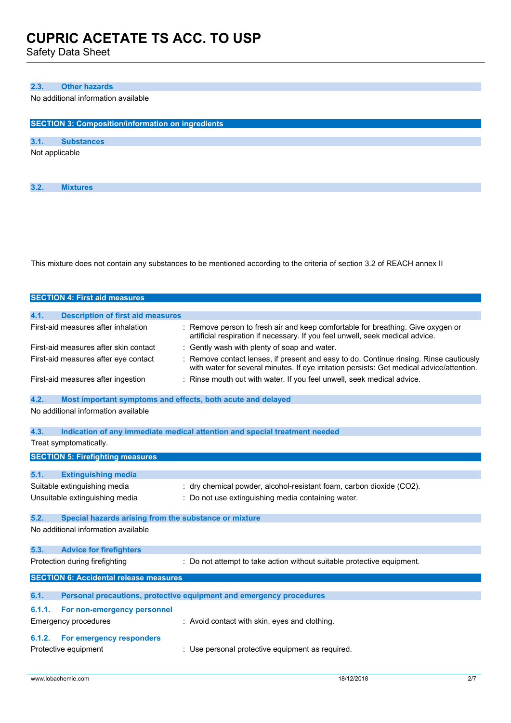Safety Data Sheet

### **2.3. Other hazards**

No additional information available

| <b>SECTION 3: Composition/information on ingredients</b> |                   |  |  |  |
|----------------------------------------------------------|-------------------|--|--|--|
| 3.1.                                                     | <b>Substances</b> |  |  |  |
|                                                          | Not applicable    |  |  |  |
|                                                          |                   |  |  |  |
|                                                          |                   |  |  |  |
| 3.2.                                                     | <b>Mixtures</b>   |  |  |  |

This mixture does not contain any substances to be mentioned according to the criteria of section 3.2 of REACH annex II

|                      | <b>SECTION 4: First aid measures</b>                        |                                                                                                                                                                                   |
|----------------------|-------------------------------------------------------------|-----------------------------------------------------------------------------------------------------------------------------------------------------------------------------------|
| 4.1.                 | <b>Description of first aid measures</b>                    |                                                                                                                                                                                   |
|                      | First-aid measures after inhalation                         | Remove person to fresh air and keep comfortable for breathing. Give oxygen or<br>artificial respiration if necessary. If you feel unwell, seek medical advice.                    |
|                      | First-aid measures after skin contact                       | Gently wash with plenty of soap and water.                                                                                                                                        |
|                      | First-aid measures after eye contact                        | Remove contact lenses, if present and easy to do. Continue rinsing. Rinse cautiously<br>with water for several minutes. If eye irritation persists: Get medical advice/attention. |
|                      | First-aid measures after ingestion                          | Rinse mouth out with water. If you feel unwell, seek medical advice.                                                                                                              |
| 4.2.                 | Most important symptoms and effects, both acute and delayed |                                                                                                                                                                                   |
|                      | No additional information available                         |                                                                                                                                                                                   |
| 4.3.                 |                                                             | Indication of any immediate medical attention and special treatment needed                                                                                                        |
|                      | Treat symptomatically.                                      |                                                                                                                                                                                   |
|                      | <b>SECTION 5: Firefighting measures</b>                     |                                                                                                                                                                                   |
|                      |                                                             |                                                                                                                                                                                   |
| 5.1.                 | <b>Extinguishing media</b>                                  |                                                                                                                                                                                   |
|                      | Suitable extinguishing media                                | : dry chemical powder, alcohol-resistant foam, carbon dioxide (CO2).                                                                                                              |
|                      | Unsuitable extinguishing media                              | : Do not use extinguishing media containing water.                                                                                                                                |
| 5.2.                 | Special hazards arising from the substance or mixture       |                                                                                                                                                                                   |
|                      | No additional information available                         |                                                                                                                                                                                   |
| 5.3.                 | <b>Advice for firefighters</b>                              |                                                                                                                                                                                   |
|                      | Protection during firefighting                              | : Do not attempt to take action without suitable protective equipment.                                                                                                            |
|                      | <b>SECTION 6: Accidental release measures</b>               |                                                                                                                                                                                   |
|                      |                                                             |                                                                                                                                                                                   |
| 6.1.                 |                                                             | Personal precautions, protective equipment and emergency procedures                                                                                                               |
| 6.1.1.               | For non-emergency personnel                                 |                                                                                                                                                                                   |
|                      | Emergency procedures                                        | : Avoid contact with skin, eyes and clothing.                                                                                                                                     |
| 6.1.2.               | For emergency responders                                    |                                                                                                                                                                                   |
| Protective equipment |                                                             | : Use personal protective equipment as required.                                                                                                                                  |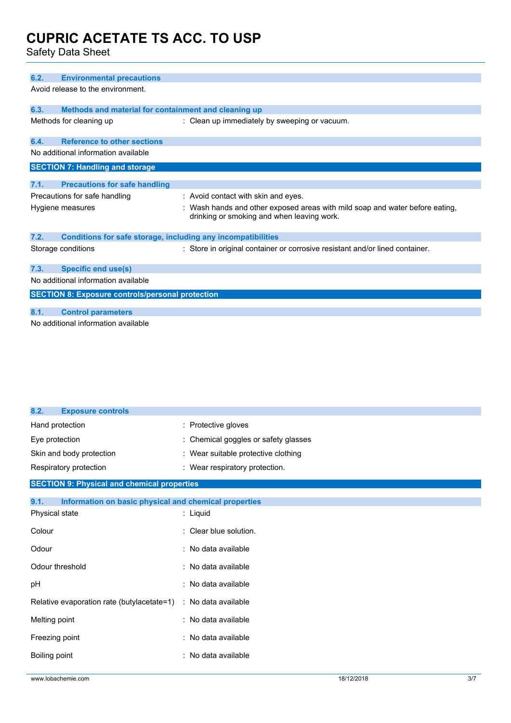Safety Data Sheet

| 6.2. | <b>Environmental precautions</b>                             |                                                                                                                            |  |  |
|------|--------------------------------------------------------------|----------------------------------------------------------------------------------------------------------------------------|--|--|
|      | Avoid release to the environment.                            |                                                                                                                            |  |  |
|      |                                                              |                                                                                                                            |  |  |
| 6.3. | Methods and material for containment and cleaning up         |                                                                                                                            |  |  |
|      | Methods for cleaning up                                      | : Clean up immediately by sweeping or vacuum.                                                                              |  |  |
| 6.4. | <b>Reference to other sections</b>                           |                                                                                                                            |  |  |
|      | No additional information available                          |                                                                                                                            |  |  |
|      | <b>SECTION 7: Handling and storage</b>                       |                                                                                                                            |  |  |
|      |                                                              |                                                                                                                            |  |  |
| 7.1. | <b>Precautions for safe handling</b>                         |                                                                                                                            |  |  |
|      | Precautions for safe handling                                | : Avoid contact with skin and eyes.                                                                                        |  |  |
|      | Hygiene measures                                             | : Wash hands and other exposed areas with mild soap and water before eating,<br>drinking or smoking and when leaving work. |  |  |
| 7.2. | Conditions for safe storage, including any incompatibilities |                                                                                                                            |  |  |
|      | Storage conditions                                           | : Store in original container or corrosive resistant and/or lined container.                                               |  |  |
| 7.3. | <b>Specific end use(s)</b>                                   |                                                                                                                            |  |  |
|      | No additional information available                          |                                                                                                                            |  |  |
|      | <b>SECTION 8: Exposure controls/personal protection</b>      |                                                                                                                            |  |  |
|      |                                                              |                                                                                                                            |  |  |
| 8.1. | <b>Control parameters</b>                                    |                                                                                                                            |  |  |
|      | No additional information available                          |                                                                                                                            |  |  |

| 8.2.<br><b>Exposure controls</b>                              |                                      |
|---------------------------------------------------------------|--------------------------------------|
| Hand protection                                               | : Protective gloves                  |
| Eye protection                                                | : Chemical goggles or safety glasses |
| Skin and body protection                                      | : Wear suitable protective clothing  |
| Respiratory protection                                        | : Wear respiratory protection.       |
| <b>SECTION 9: Physical and chemical properties</b>            |                                      |
| 9.1.<br>Information on basic physical and chemical properties |                                      |
| Physical state                                                | : Liquid                             |
| Colour                                                        | Clear blue solution.                 |
| Odour                                                         | : No data available                  |
| Odour threshold                                               | : No data available                  |
| pH                                                            | : No data available                  |
| Relative evaporation rate (butylacetate=1)                    | : No data available                  |
| Melting point                                                 | : No data available                  |
| Freezing point                                                | : No data available                  |
| Boiling point                                                 | No data available<br>٠               |
|                                                               |                                      |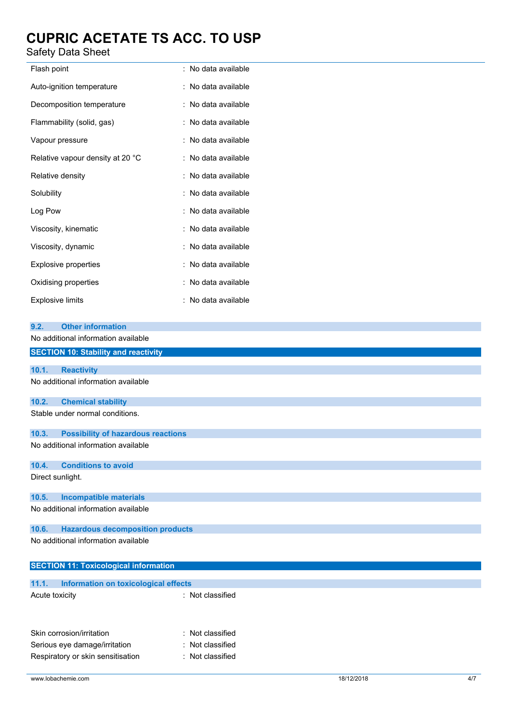### Safety Data Sheet

| Flash point                      | : No data available |
|----------------------------------|---------------------|
| Auto-ignition temperature        | : No data available |
| Decomposition temperature        | : No data available |
| Flammability (solid, gas)        | : No data available |
| Vapour pressure                  | : No data available |
| Relative vapour density at 20 °C | : No data available |
| Relative density                 | : No data available |
| Solubility                       | : No data available |
| Log Pow                          | : No data available |
| Viscosity, kinematic             | : No data available |
| Viscosity, dynamic               | : No data available |
| Explosive properties             | : No data available |
| Oxidising properties             | : No data available |
| Explosive limits                 | : No data available |

| 9.2.           | <b>Other information</b>                     |                  |  |
|----------------|----------------------------------------------|------------------|--|
|                | No additional information available          |                  |  |
|                | <b>SECTION 10: Stability and reactivity</b>  |                  |  |
| 10.1.          | <b>Reactivity</b>                            |                  |  |
|                |                                              |                  |  |
|                | No additional information available          |                  |  |
| 10.2.          | <b>Chemical stability</b>                    |                  |  |
|                | Stable under normal conditions.              |                  |  |
| 10.3.          | <b>Possibility of hazardous reactions</b>    |                  |  |
|                | No additional information available          |                  |  |
| 10.4.          | <b>Conditions to avoid</b>                   |                  |  |
|                | Direct sunlight.                             |                  |  |
| 10.5.          | <b>Incompatible materials</b>                |                  |  |
|                | No additional information available          |                  |  |
| 10.6.          | <b>Hazardous decomposition products</b>      |                  |  |
|                | No additional information available          |                  |  |
|                | <b>SECTION 11: Toxicological information</b> |                  |  |
| 11.1.          | Information on toxicological effects         |                  |  |
| Acute toxicity |                                              | : Not classified |  |
|                | Skin corrosion/irritation                    | Not classified   |  |

Serious eye damage/irritation : Not classified Respiratory or skin sensitisation : Not classified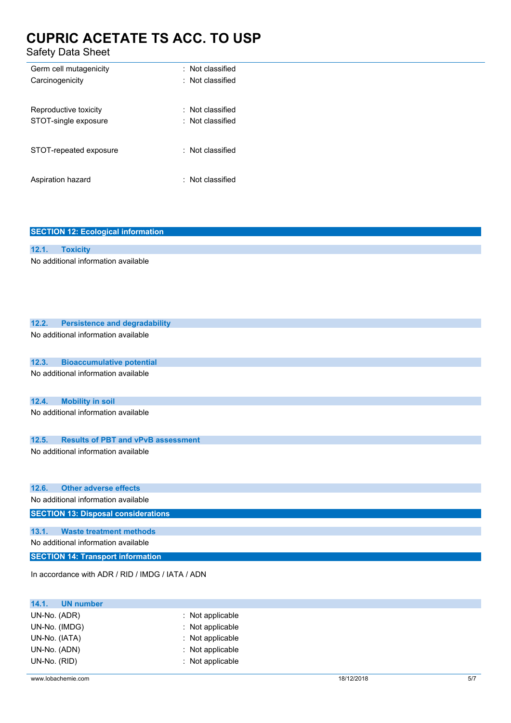Safety Data Sheet

| Germ cell mutagenicity | $\pm$ Not classified        |
|------------------------|-----------------------------|
| Carcinogenicity        | $\pm$ Not classified        |
| Reproductive toxicity  | $\pm$ Not classified        |
| STOT-single exposure   | $\therefore$ Not classified |
| STOT-repeated exposure | : Not classified            |
| Aspiration hazard      | : Not classified            |

| <b>SECTION 12: Ecological information</b>          |
|----------------------------------------------------|
|                                                    |
| 12.1.<br><b>Toxicity</b>                           |
| No additional information available                |
|                                                    |
|                                                    |
|                                                    |
|                                                    |
|                                                    |
| 12.2.<br><b>Persistence and degradability</b>      |
| No additional information available                |
|                                                    |
|                                                    |
| 12.3.<br><b>Bioaccumulative potential</b>          |
| No additional information available                |
|                                                    |
|                                                    |
| 12.4.<br><b>Mobility in soil</b>                   |
| No additional information available                |
|                                                    |
|                                                    |
| 12.5.<br><b>Results of PBT and vPvB assessment</b> |
| No additional information available                |
|                                                    |
|                                                    |
| <b>Other adverse effects</b><br>12.6.              |
| No additional information available                |
|                                                    |
| <b>SECTION 13: Disposal considerations</b>         |
| <b>Waste treatment methods</b><br>13.1.            |
|                                                    |
| No additional information available                |
| <b>SECTION 14: Transport information</b>           |
|                                                    |
| In accordance with ADR / RID / IMDG / IATA / ADN   |
|                                                    |

| $:$ Not applicable |
|--------------------|
| : Not applicable   |
| : Not applicable   |
| : Not applicable   |
| : Not applicable   |
|                    |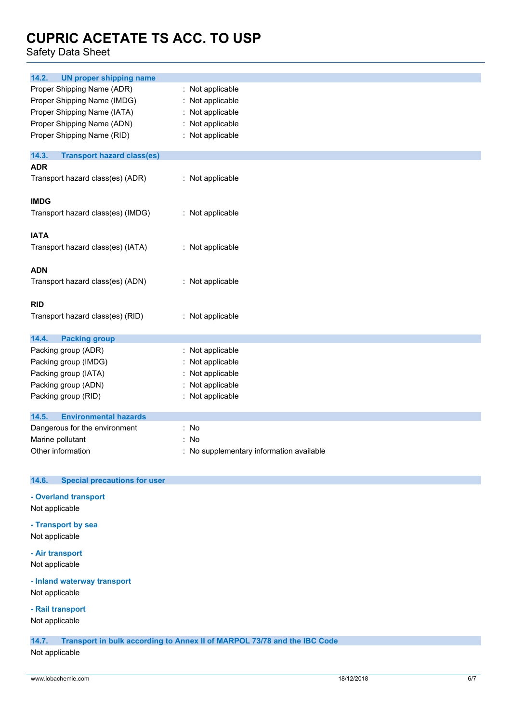Safety Data Sheet

| 14.2.<br><b>UN proper shipping name</b>    |                                          |
|--------------------------------------------|------------------------------------------|
| Proper Shipping Name (ADR)                 | : Not applicable                         |
| Proper Shipping Name (IMDG)                | : Not applicable                         |
| Proper Shipping Name (IATA)                | : Not applicable                         |
| Proper Shipping Name (ADN)                 | : Not applicable                         |
| Proper Shipping Name (RID)                 | : Not applicable                         |
|                                            |                                          |
| 14.3.<br><b>Transport hazard class(es)</b> |                                          |
| <b>ADR</b>                                 |                                          |
| Transport hazard class(es) (ADR)           | : Not applicable                         |
|                                            |                                          |
| <b>IMDG</b>                                |                                          |
| Transport hazard class(es) (IMDG)          | : Not applicable                         |
|                                            |                                          |
| <b>IATA</b>                                |                                          |
| Transport hazard class(es) (IATA)          | : Not applicable                         |
|                                            |                                          |
| <b>ADN</b>                                 |                                          |
| Transport hazard class(es) (ADN)           | : Not applicable                         |
|                                            |                                          |
| <b>RID</b>                                 |                                          |
| Transport hazard class(es) (RID)           | : Not applicable                         |
|                                            |                                          |
| 14.4.<br><b>Packing group</b>              |                                          |
| Packing group (ADR)                        | : Not applicable                         |
| Packing group (IMDG)                       | : Not applicable                         |
| Packing group (IATA)                       | : Not applicable                         |
| Packing group (ADN)                        | : Not applicable                         |
| Packing group (RID)                        | : Not applicable                         |
|                                            |                                          |
| 14.5.<br><b>Environmental hazards</b>      |                                          |
| Dangerous for the environment              | : No                                     |
| Marine pollutant                           | : No                                     |
| Other information                          | : No supplementary information available |

### **14.6. Special precautions for user**

**- Overland transport**

Not applicable

**- Transport by sea** Not applicable

**- Air transport** Not applicable

### **- Inland waterway transport**

Not applicable

### **- Rail transport**

Not applicable

**14.7. Transport in bulk according to Annex II of MARPOL 73/78 and the IBC Code**

Not applicable